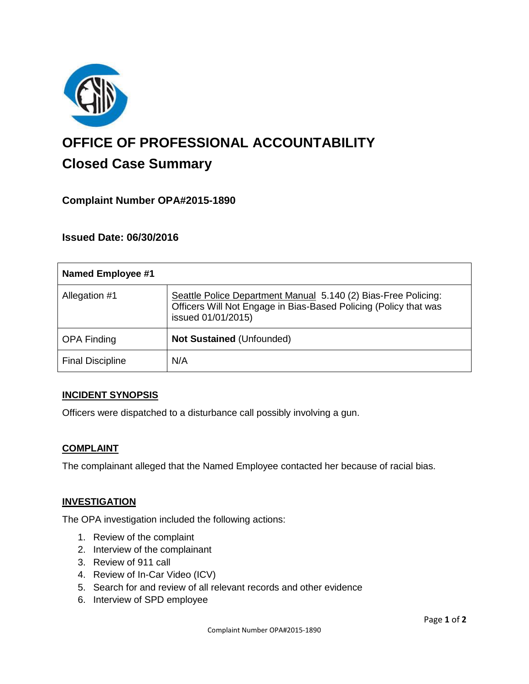

# **OFFICE OF PROFESSIONAL ACCOUNTABILITY Closed Case Summary**

# **Complaint Number OPA#2015-1890**

## **Issued Date: 06/30/2016**

| <b>Named Employee #1</b> |                                                                                                                                                          |
|--------------------------|----------------------------------------------------------------------------------------------------------------------------------------------------------|
| Allegation #1            | Seattle Police Department Manual 5.140 (2) Bias-Free Policing:<br>Officers Will Not Engage in Bias-Based Policing (Policy that was<br>issued 01/01/2015) |
| <b>OPA Finding</b>       | Not Sustained (Unfounded)                                                                                                                                |
| <b>Final Discipline</b>  | N/A                                                                                                                                                      |

#### **INCIDENT SYNOPSIS**

Officers were dispatched to a disturbance call possibly involving a gun.

#### **COMPLAINT**

The complainant alleged that the Named Employee contacted her because of racial bias.

#### **INVESTIGATION**

The OPA investigation included the following actions:

- 1. Review of the complaint
- 2. Interview of the complainant
- 3. Review of 911 call
- 4. Review of In-Car Video (ICV)
- 5. Search for and review of all relevant records and other evidence
- 6. Interview of SPD employee